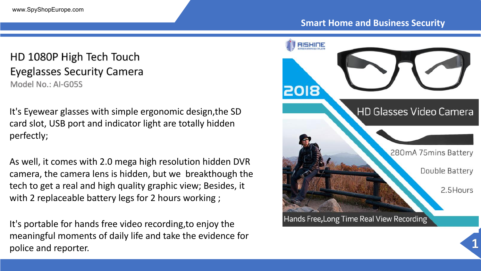## HD 1080P High Tech Touch **Eyeglasses Security Camera** Model No.: AI-G05S

It's Eyewear glasses with simple ergonomic design,the SD card slot, USB port and indicator light are totally hidden perfectly;

As well, it comes with 2.0 mega high resolution hidden DVR camera, the camera lens is hidden, but we breakthough the tech to get a real and high quality graphic view; Besides, it with 2 replaceable battery legs for 2 hours working ;

It's portable for hands free video recording,to enjoy the meaningful moments of daily life and take the evidence for police and reporter.

### **Smart Home and Business Security**

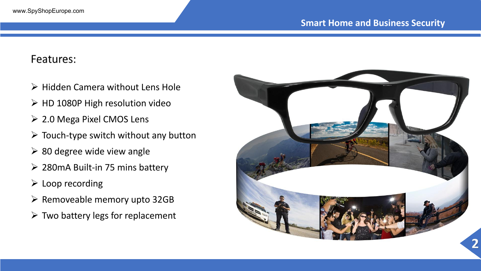## Features:

- $\triangleright$  Hidden Camera without Lens Hole
- $\triangleright$  HD 1080P High resolution video
- 2.0 Mega Pixel CMOS Lens
- $\triangleright$  Touch-type switch without any button
- $\geq$  80 degree wide view angle
- $\geq$  280mA Built-in 75 mins battery
- $\triangleright$  Loop recording
- $\triangleright$  Removeable memory upto 32GB
- $\triangleright$  Two battery legs for replacement

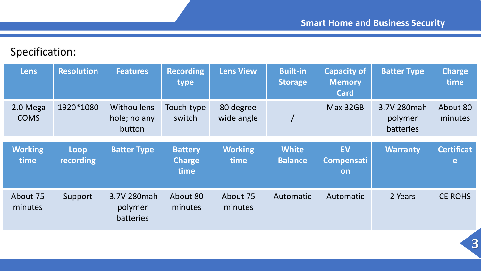# Specification:

| <b>Lens</b>             | <b>Resolution</b>        | <b>Features</b>                       | <b>Recording</b><br>type        | <b>Lens View</b>        | <b>Built-in</b><br><b>Storage</b> | <b>Capacity of</b><br><b>Memory</b><br><b>Card</b> | <b>Batter Type</b>                  | <b>Charge</b><br>time  |
|-------------------------|--------------------------|---------------------------------------|---------------------------------|-------------------------|-----------------------------------|----------------------------------------------------|-------------------------------------|------------------------|
| 2.0 Mega<br><b>COMS</b> | 1920*1080                | Withou lens<br>hole; no any<br>button | Touch-type<br>switch            | 80 degree<br>wide angle |                                   | Max 32GB                                           | 3.7V 280mah<br>polymer<br>batteries | About 80<br>minutes    |
| <b>Working</b><br>time  | Loop<br><b>recording</b> | <b>Batter Type</b>                    | <b>Battery</b><br><b>Charge</b> | <b>Working</b><br>time  | <b>White</b><br><b>Balance</b>    | <b>EV</b><br><b>Compensati</b>                     | <b>Warranty</b>                     | <b>Certificat</b><br>e |
|                         |                          |                                       | time                            |                         |                                   | on                                                 |                                     |                        |